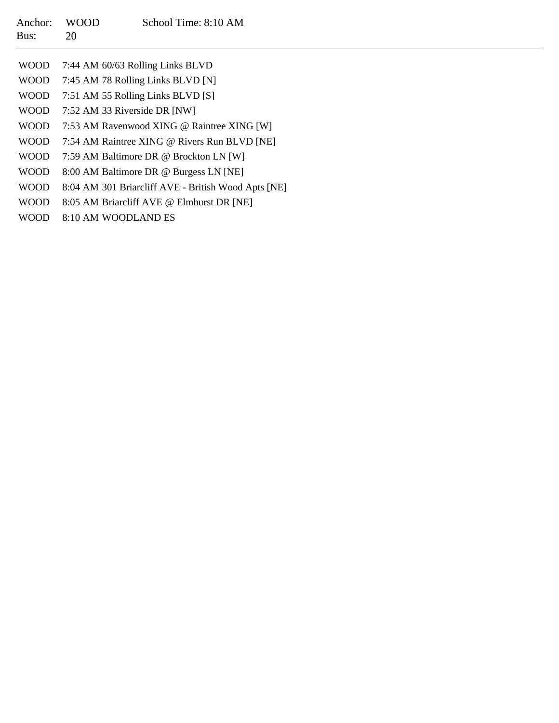| Anchor:<br>Bus: | <b>WOOD</b><br>20                 | School Time: 8:10 AM                                |  |
|-----------------|-----------------------------------|-----------------------------------------------------|--|
| WOOD.           |                                   | 7:44 AM 60/63 Rolling Links BLVD                    |  |
| <b>WOOD</b>     | 7:45 AM 78 Rolling Links BLVD [N] |                                                     |  |
| WOOD            | 7:51 AM 55 Rolling Links BLVD [S] |                                                     |  |
| <b>WOOD</b>     | 7:52 AM 33 Riverside DR [NW]      |                                                     |  |
| <b>WOOD</b>     |                                   | 7:53 AM Ravenwood XING @ Raintree XING [W]          |  |
| <b>WOOD</b>     |                                   | 7:54 AM Raintree XING @ Rivers Run BLVD [NE]        |  |
| <b>WOOD</b>     |                                   | 7:59 AM Baltimore DR @ Brockton LN [W]              |  |
| <b>WOOD</b>     |                                   | 8:00 AM Baltimore DR @ Burgess LN [NE]              |  |
| <b>WOOD</b>     |                                   | 8:04 AM 301 Briarcliff AVE - British Wood Apts [NE] |  |
| <b>WOOD</b>     |                                   | 8:05 AM Briarcliff AVE @ Elmhurst DR [NE]           |  |
| <b>WOOD</b>     | 8:10 AM WOODLAND ES               |                                                     |  |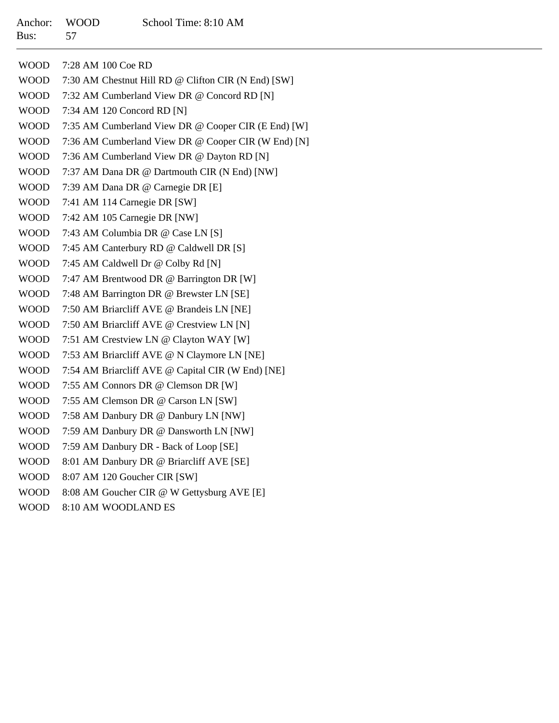| <b>WOOD</b> | 7:28 AM 100 Coe RD                                  |
|-------------|-----------------------------------------------------|
| <b>WOOD</b> | 7:30 AM Chestnut Hill RD @ Clifton CIR (N End) [SW] |
| <b>WOOD</b> | 7:32 AM Cumberland View DR @ Concord RD [N]         |
| <b>WOOD</b> | 7:34 AM 120 Concord RD [N]                          |
| <b>WOOD</b> | 7:35 AM Cumberland View DR @ Cooper CIR (E End) [W] |
| <b>WOOD</b> | 7:36 AM Cumberland View DR @ Cooper CIR (W End) [N] |
| <b>WOOD</b> | 7:36 AM Cumberland View DR @ Dayton RD [N]          |
| <b>WOOD</b> | 7:37 AM Dana DR @ Dartmouth CIR (N End) [NW]        |
| <b>WOOD</b> | 7:39 AM Dana DR @ Carnegie DR [E]                   |
| <b>WOOD</b> | 7:41 AM 114 Carnegie DR [SW]                        |
| <b>WOOD</b> | 7:42 AM 105 Carnegie DR [NW]                        |
| <b>WOOD</b> | 7:43 AM Columbia DR @ Case LN [S]                   |
| <b>WOOD</b> | 7:45 AM Canterbury RD @ Caldwell DR [S]             |
| <b>WOOD</b> | 7:45 AM Caldwell Dr @ Colby Rd [N]                  |
| <b>WOOD</b> | 7:47 AM Brentwood DR @ Barrington DR [W]            |
| <b>WOOD</b> | 7:48 AM Barrington DR @ Brewster LN [SE]            |
| <b>WOOD</b> | 7:50 AM Briarcliff AVE @ Brandeis LN [NE]           |
| <b>WOOD</b> | 7:50 AM Briarcliff AVE @ Crestview LN [N]           |
| <b>WOOD</b> | 7:51 AM Crestview LN @ Clayton WAY [W]              |
| <b>WOOD</b> | 7:53 AM Briarcliff AVE @ N Claymore LN [NE]         |
| <b>WOOD</b> | 7:54 AM Briarcliff AVE @ Capital CIR (W End) [NE]   |
| <b>WOOD</b> | 7:55 AM Connors DR @ Clemson DR [W]                 |
| <b>WOOD</b> | 7:55 AM Clemson DR @ Carson LN [SW]                 |
| <b>WOOD</b> | 7:58 AM Danbury DR @ Danbury LN [NW]                |
| <b>WOOD</b> | 7:59 AM Danbury DR @ Dansworth LN [NW]              |
| <b>WOOD</b> | 7:59 AM Danbury DR - Back of Loop [SE]              |
| <b>WOOD</b> | 8:01 AM Danbury DR @ Briarcliff AVE [SE]            |
| <b>WOOD</b> | 8:07 AM 120 Goucher CIR [SW]                        |
| <b>WOOD</b> | 8:08 AM Goucher CIR @ W Gettysburg AVE [E]          |

WOOD 8:10 AM WOODLAND ES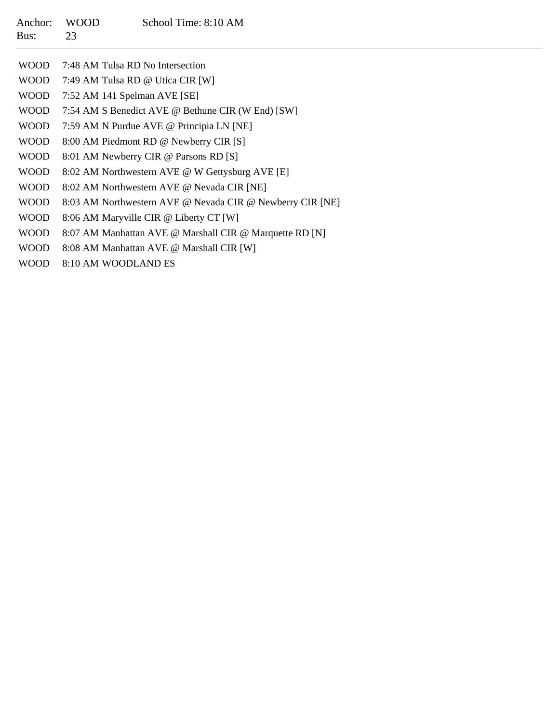| Anchor:<br>Bus: | <b>WOOD</b><br>23 | School Time: 8:10 AM                              |
|-----------------|-------------------|---------------------------------------------------|
| WOOD            |                   | 7:48 AM Tulsa RD No Intersection                  |
| WOOD –          |                   | 7:49 AM Tulsa RD @ Utica CIR [W]                  |
| <b>WOOD</b>     |                   | 7:52 AM 141 Spelman AVE [SE]                      |
| <b>WOOD</b>     |                   | 7:54 AM S Benedict AVE @ Bethune CIR (W End) [SW] |
| <b>WOOD</b>     |                   | 7:59 AM N Purdue AVE @ Principia LN [NE]          |
| WOOD            |                   | 8:00 AM Piedmont RD @ Newberry CIR [S]            |
| WOOD            |                   | 8:01 AM Newberry CIR @ Parsons RD [S]             |

- WOOD8:02 AM Northwestern AVE @ W Gettysburg AVE [E]
- WOOD8:02 AM Northwestern AVE @ Nevada CIR [NE]
- WOOD8:03 AM Northwestern AVE @ Nevada CIR @ Newberry CIR [NE]
- WOOD8:06 AM Maryville CIR @ Liberty CT [W]
- WOOD8:07 AM Manhattan AVE @ Marshall CIR @ Marquette RD [N]
- WOOD8:08 AM Manhattan AVE @ Marshall CIR [W]
- WOOD8:10 AM WOODLAND ES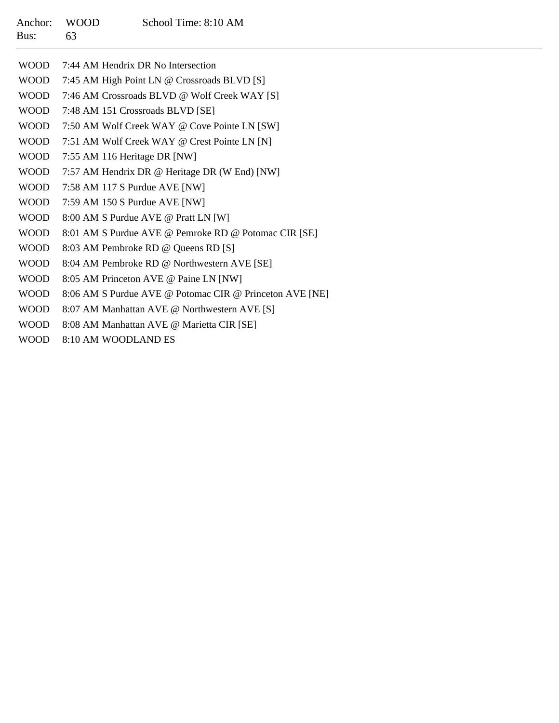| Anchor: WOOD |     | School Time: 8:10 AM |
|--------------|-----|----------------------|
| Bus:         | -63 |                      |

| <b>WOOD</b> | 7:44 AM Hendrix DR No Intersection                      |
|-------------|---------------------------------------------------------|
| <b>WOOD</b> | 7:45 AM High Point LN @ Crossroads BLVD [S]             |
| <b>WOOD</b> | 7:46 AM Crossroads BLVD @ Wolf Creek WAY [S]            |
| <b>WOOD</b> | 7:48 AM 151 Crossroads BLVD [SE]                        |
| <b>WOOD</b> | 7:50 AM Wolf Creek WAY @ Cove Pointe LN [SW]            |
| <b>WOOD</b> | 7:51 AM Wolf Creek WAY @ Crest Pointe LN [N]            |
| <b>WOOD</b> | 7:55 AM 116 Heritage DR [NW]                            |
| <b>WOOD</b> | 7:57 AM Hendrix DR @ Heritage DR (W End) [NW]           |
| <b>WOOD</b> | 7:58 AM 117 S Purdue AVE [NW]                           |
| <b>WOOD</b> | 7:59 AM 150 S Purdue AVE [NW]                           |
| <b>WOOD</b> | 8:00 AM S Purdue AVE @ Pratt LN [W]                     |
| <b>WOOD</b> | 8:01 AM S Purdue AVE @ Pemroke RD @ Potomac CIR [SE]    |
| <b>WOOD</b> | 8:03 AM Pembroke RD @ Queens RD [S]                     |
| <b>WOOD</b> | 8:04 AM Pembroke RD @ Northwestern AVE [SE]             |
| <b>WOOD</b> | 8:05 AM Princeton AVE @ Paine LN [NW]                   |
| <b>WOOD</b> | 8:06 AM S Purdue AVE @ Potomac CIR @ Princeton AVE [NE] |
| <b>WOOD</b> | 8:07 AM Manhattan AVE @ Northwestern AVE [S]            |
| <b>WOOD</b> | 8:08 AM Manhattan AVE @ Marietta CIR [SE]               |
| <b>WOOD</b> | 8:10 AM WOODLAND ES                                     |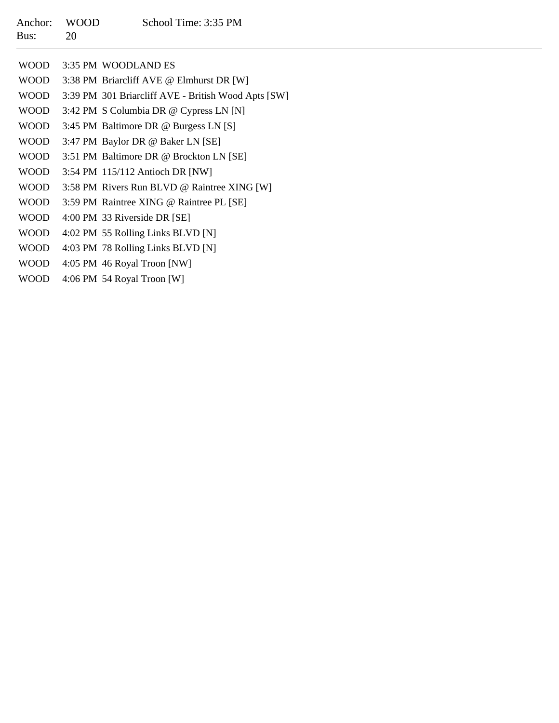| Anchor: WOOD |    | School Time: 3:35 PM |
|--------------|----|----------------------|
| Bus:         | 20 |                      |

| <b>WOOD</b> | 3:35 PM WOODLAND ES                                 |
|-------------|-----------------------------------------------------|
| <b>WOOD</b> | 3:38 PM Briarcliff AVE @ Elmhurst DR [W]            |
| WOOD        | 3:39 PM 301 Briarcliff AVE - British Wood Apts [SW] |
| <b>WOOD</b> | 3:42 PM S Columbia DR @ Cypress LN [N]              |
| <b>WOOD</b> | 3:45 PM Baltimore DR @ Burgess LN [S]               |
| <b>WOOD</b> | 3:47 PM Baylor DR @ Baker LN [SE]                   |
| <b>WOOD</b> | 3:51 PM Baltimore DR @ Brockton LN [SE]             |
| <b>WOOD</b> | 3:54 PM 115/112 Antioch DR [NW]                     |
| <b>WOOD</b> | 3:58 PM Rivers Run BLVD @ Raintree XING [W]         |
| <b>WOOD</b> | 3:59 PM Raintree XING @ Raintree PL [SE]            |
| <b>WOOD</b> | 4:00 PM 33 Riverside DR [SE]                        |
| <b>WOOD</b> | 4:02 PM 55 Rolling Links BLVD [N]                   |
| <b>WOOD</b> | 4:03 PM 78 Rolling Links BLVD [N]                   |
| <b>WOOD</b> | 4:05 PM 46 Royal Troon [NW]                         |
| <b>WOOD</b> | 4:06 PM 54 Royal Troon [W]                          |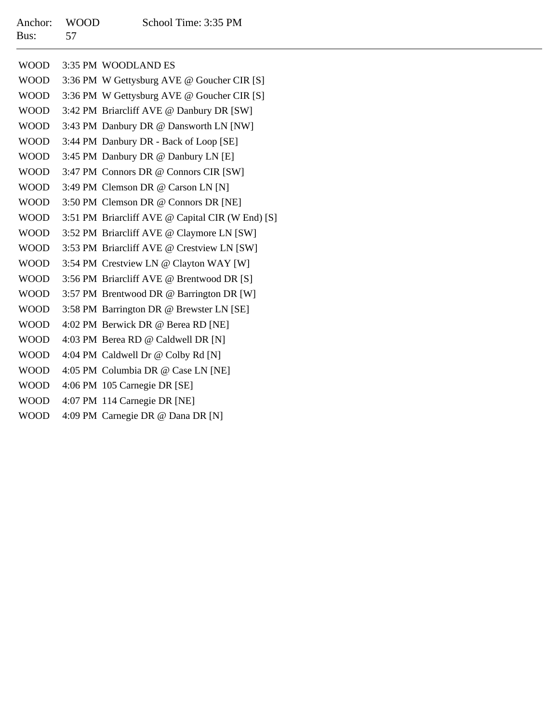| Anchor: WOOD |    | School Time: 3:35 PM |
|--------------|----|----------------------|
| Bus:         | 57 |                      |

| <b>WOOD</b> | 3:35 PM WOODLAND ES                              |
|-------------|--------------------------------------------------|
| <b>WOOD</b> | 3:36 PM W Gettysburg AVE @ Goucher CIR [S]       |
| <b>WOOD</b> | 3:36 PM W Gettysburg AVE @ Goucher CIR [S]       |
| <b>WOOD</b> | 3:42 PM Briarcliff AVE @ Danbury DR [SW]         |
| WOOD        | 3:43 PM Danbury DR @ Dansworth LN [NW]           |
| <b>WOOD</b> | 3:44 PM Danbury DR - Back of Loop [SE]           |
| WOOD        | 3:45 PM Danbury DR @ Danbury LN [E]              |
| <b>WOOD</b> | 3:47 PM Connors DR @ Connors CIR [SW]            |
| WOOD        | 3:49 PM Clemson DR @ Carson LN [N]               |
| <b>WOOD</b> | 3:50 PM Clemson DR @ Connors DR [NE]             |
| <b>WOOD</b> | 3:51 PM Briarcliff AVE @ Capital CIR (W End) [S] |
| <b>WOOD</b> | 3:52 PM Briarcliff AVE @ Claymore LN [SW]        |
| <b>WOOD</b> | 3:53 PM Briarcliff AVE @ Crestview LN [SW]       |
| WOOD        | 3:54 PM Crestview LN @ Clayton WAY [W]           |
| <b>WOOD</b> | 3:56 PM Briarcliff AVE @ Brentwood DR [S]        |
| WOOD        | 3:57 PM Brentwood DR @ Barrington DR [W]         |
| <b>WOOD</b> | 3:58 PM Barrington DR @ Brewster LN [SE]         |
| <b>WOOD</b> | 4:02 PM Berwick DR @ Berea RD [NE]               |
| <b>WOOD</b> | 4:03 PM Berea RD @ Caldwell DR [N]               |
| <b>WOOD</b> | 4:04 PM Caldwell Dr @ Colby Rd [N]               |
| WOOD        | 4:05 PM Columbia DR @ Case LN [NE]               |
| <b>WOOD</b> | 4:06 PM 105 Carnegie DR [SE]                     |
| <b>WOOD</b> | 4:07 PM 114 Carnegie DR [NE]                     |
| <b>WOOD</b> | 4:09 PM Carnegie DR @ Dana DR [N]                |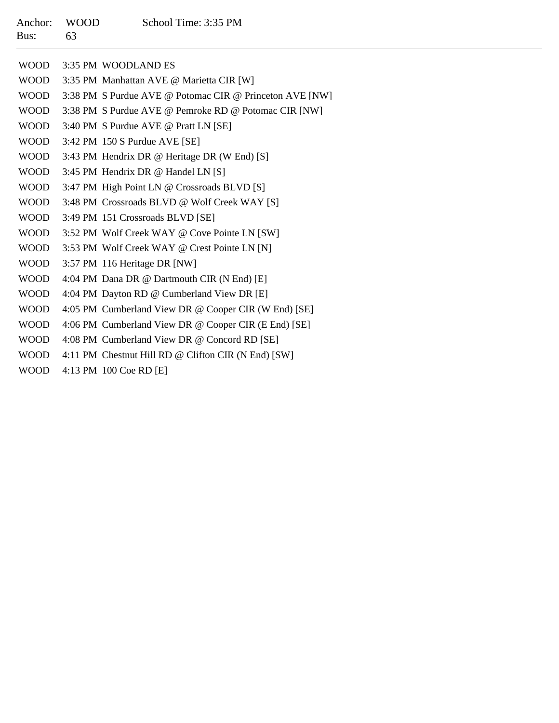## Anchor: WOOD School Time: 3:35 PM Bus:63

| <b>WOOD</b> | 3:35 PM WOODLAND ES                                     |
|-------------|---------------------------------------------------------|
| <b>WOOD</b> | 3:35 PM Manhattan AVE @ Marietta CIR [W]                |
| <b>WOOD</b> | 3:38 PM S Purdue AVE @ Potomac CIR @ Princeton AVE [NW] |
| <b>WOOD</b> | 3:38 PM S Purdue AVE @ Pemroke RD @ Potomac CIR [NW]    |
| WOOD        | 3:40 PM S Purdue AVE @ Pratt LN [SE]                    |
| WOOD        | 3:42 PM 150 S Purdue AVE [SE]                           |
| <b>WOOD</b> | 3:43 PM Hendrix DR @ Heritage DR (W End) [S]            |
| <b>WOOD</b> | 3:45 PM Hendrix DR @ Handel LN [S]                      |
| <b>WOOD</b> | 3:47 PM High Point LN @ Crossroads BLVD [S]             |
| <b>WOOD</b> | 3:48 PM Crossroads BLVD @ Wolf Creek WAY [S]            |
| <b>WOOD</b> | 3:49 PM 151 Crossroads BLVD [SE]                        |
| <b>WOOD</b> | 3:52 PM Wolf Creek WAY @ Cove Pointe LN [SW]            |
| <b>WOOD</b> | 3:53 PM Wolf Creek WAY @ Crest Pointe LN [N]            |
| <b>WOOD</b> | 3:57 PM 116 Heritage DR [NW]                            |
| WOOD        | 4:04 PM Dana DR @ Dartmouth CIR (N End) [E]             |
| <b>WOOD</b> | 4:04 PM Dayton RD @ Cumberland View DR [E]              |
| <b>WOOD</b> | 4:05 PM Cumberland View DR @ Cooper CIR (W End) [SE]    |
| <b>WOOD</b> | 4:06 PM Cumberland View DR @ Cooper CIR (E End) [SE]    |
| <b>WOOD</b> | 4:08 PM Cumberland View DR @ Concord RD [SE]            |
| <b>WOOD</b> | 4:11 PM Chestnut Hill RD @ Clifton CIR (N End) [SW]     |
|             |                                                         |

WOOD 4:13 PM 100 Coe RD [E]